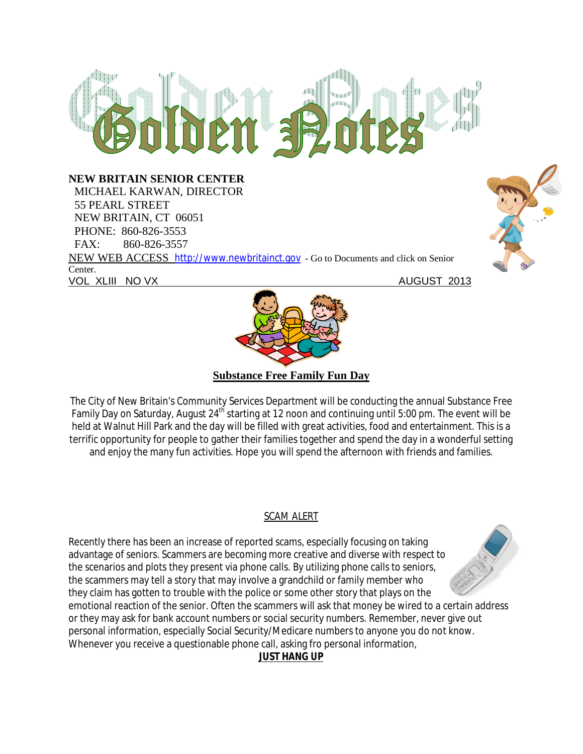# $m$  ap $n$

#### **NEW BRITAIN SENIOR CENTER**

 MICHAEL KARWAN, DIRECTOR 55 PEARL STREET NEW BRITAIN, CT 06051 PHONE: 860-826-3553 FAX: 860-826-3557 NEW WEB ACCESS http://www.newbritainct.gov - Go to Documents and click on Senior Center. VOL XLIII NO VX AUGUST 2013





**Substance Free Family Fun Day**

The City of New Britain's Community Services Department will be conducting the annual Substance Free Family Day on Saturday, August 24<sup>th</sup> starting at 12 noon and continuing until 5:00 pm. The event will be held at Walnut Hill Park and the day will be filled with great activities, food and entertainment. This is a terrific opportunity for people to gather their families together and spend the day in a wonderful setting and enjoy the many fun activities. Hope you will spend the afternoon with friends and families.

### SCAM ALERT

Recently there has been an increase of reported scams, especially focusing on taking advantage of seniors. Scammers are becoming more creative and diverse with respect to the scenarios and plots they present via phone calls. By utilizing phone calls to seniors, the scammers may tell a story that may involve a grandchild or family member who they claim has gotten to trouble with the police or some other story that plays on the emotional reaction of the senior. Often the scammers will ask that money be wired to a certain address or they may ask for bank account numbers or social security numbers. Remember, never give out personal information, especially Social Security/Medicare numbers to anyone you do not know. Whenever you receive a questionable phone call, asking fro personal information,

# **JUST HANG UP**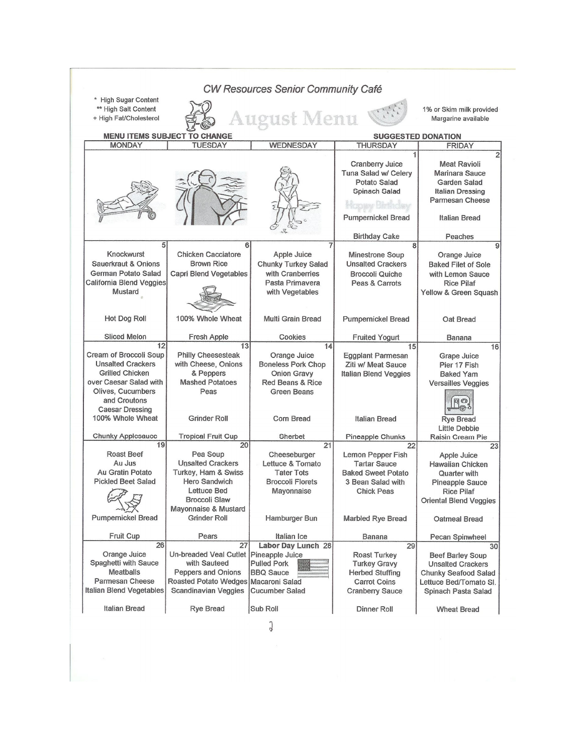| * High Sugar Content<br>** High Salt Content<br><b>August Menu</b><br>+ High Fat/Cholesterol<br><b>MENU ITEMS SUBJECT TO CHANGE</b><br><b>SUGGESTED DONATION</b><br><b>TUESDAY</b><br><b>WEDNESDAY</b><br><b>MONDAY</b><br><b>THURSDAY</b><br><b>FRIDAY</b><br>Cranberry Juice<br><b>Meat Ravioli</b><br>Tuna Salad w/ Celery<br>Potato Salad<br>Spinach Salad<br>Pumpernickel Bread<br>Italian Bread<br><b>Birthday Cake</b><br>Peaches<br>5<br>6<br>8<br>Knockwurst<br><b>Chicken Cacciatore</b><br>Apple Juice<br><b>Minestrone Soup</b><br>Orange Juice<br>Sauerkraut & Onions<br><b>Brown Rice</b><br><b>Chunky Turkey Salad</b><br><b>Unsalted Crackers</b><br>German Potato Salad<br>with Cranberries<br><b>Capri Blend Vegetables</b><br><b>Broccoli Quiche</b><br>California Blend Veggies<br>Pasta Primavera<br>Peas & Carrots<br><b>Rice Pilaf</b><br>Mustard<br>with Vegetables<br>100% Whole Wheat<br>Hot Dog Roll<br>Multi Grain Bread<br><b>Pumpernickel Bread</b><br>Oat Bread<br><b>Sliced Melon</b><br>Cookies<br>Fresh Apple<br><b>Fruited Yogurt</b><br><b>Banana</b><br>12<br>13<br>14<br>15<br>Cream of Broccoli Soup<br><b>Philly Cheesesteak</b><br>Orange Juice<br>Eggplant Parmesan<br>Grape Juice<br><b>Unsalted Crackers</b><br>with Cheese, Onions<br><b>Boneless Pork Chop</b><br>Ziti w/ Meat Sauce<br>Pier 17 Fish<br><b>Grilled Chicken</b><br>& Peppers<br>Onion Gravy<br>Italian Blend Veggies<br><b>Baked Yam</b><br>over Caesar Salad with<br><b>Mashed Potatoes</b><br><b>Red Beans &amp; Rice</b><br>Olives, Cucumbers<br>Peas<br><b>Green Beans</b><br>and Croutons<br>$F_{\infty}$<br>ക്ര<br><b>Caesar Dressing</b><br>100% Whole Wheat<br><b>Grinder Roll</b><br>Corn Bread<br>Italian Bread<br><b>Rye Bread</b><br><b>Little Debbie</b><br>Chunky Applesauce<br><b>Tropical Fruit Cup</b><br>Sherbet<br>Pineapple Chunks<br>19<br>20<br>21<br>22<br>Roast Beef<br>Pea Soup<br>Cheeseburger<br>Lemon Pepper Fish<br>Apple Juice<br><b>Unsalted Crackers</b><br>Au Jus<br>Lettuce & Tomato<br><b>Tartar Sauce</b><br>Au Gratin Potato<br>Turkey, Ham & Swiss<br><b>Tater Tots</b><br><b>Baked Sweet Potato</b><br>Quarter with<br><b>Pickled Beet Salad</b><br>Hero Sandwich<br><b>Broccoli Florets</b><br>3 Bean Salad with<br>Lettuce Bed<br>Mayonnaise<br><b>Chick Peas</b><br><b>Rice Pilaf</b><br><b>Broccoli Slaw</b><br>Mayonnaise & Mustard<br><b>Pumpernickel Bread</b><br><b>Grinder Roll</b><br>Hamburger Bun<br>Marbled Rye Bread<br>Fruit Cup<br>Pears<br>Italian Ice<br>Banana<br>Pecan Spinwheel<br>$\overline{26}$<br>27<br>Labor Day Lunch 28<br>29<br>Orange Juice<br>Un-breaded Veal Cutlet   Pineapple Juice<br><b>Roast Turkey</b><br>Spaghetti with Sauce<br>with Sauteed<br><b>Pulled Pork</b><br><b>Turkey Gravy</b><br><b>Meatballs</b><br>Peppers and Onions<br><b>BBQ Sauce</b><br><b>Herbed Stuffing</b><br>Parmesan Cheese<br>Roasted Potato Wedges Macaroni Salad<br><b>Carrot Coins</b><br>Italian Blend Vegetables<br>Scandinavian Veggies<br><b>Cucumber Salad</b><br><b>Cranberry Sauce</b> | <b>CW Resources Senior Community Café</b> |  |  |  |                                                                                                                                    |  |  |  |  |  |
|------------------------------------------------------------------------------------------------------------------------------------------------------------------------------------------------------------------------------------------------------------------------------------------------------------------------------------------------------------------------------------------------------------------------------------------------------------------------------------------------------------------------------------------------------------------------------------------------------------------------------------------------------------------------------------------------------------------------------------------------------------------------------------------------------------------------------------------------------------------------------------------------------------------------------------------------------------------------------------------------------------------------------------------------------------------------------------------------------------------------------------------------------------------------------------------------------------------------------------------------------------------------------------------------------------------------------------------------------------------------------------------------------------------------------------------------------------------------------------------------------------------------------------------------------------------------------------------------------------------------------------------------------------------------------------------------------------------------------------------------------------------------------------------------------------------------------------------------------------------------------------------------------------------------------------------------------------------------------------------------------------------------------------------------------------------------------------------------------------------------------------------------------------------------------------------------------------------------------------------------------------------------------------------------------------------------------------------------------------------------------------------------------------------------------------------------------------------------------------------------------------------------------------------------------------------------------------------------------------------------------------------------------------------------------------------------------------------------------------------------------------------------------------------------------------------------------------------------------------------------------------------------------------------------------------------------------------------------------------------------------------------------------------------------------------------------|-------------------------------------------|--|--|--|------------------------------------------------------------------------------------------------------------------------------------|--|--|--|--|--|
|                                                                                                                                                                                                                                                                                                                                                                                                                                                                                                                                                                                                                                                                                                                                                                                                                                                                                                                                                                                                                                                                                                                                                                                                                                                                                                                                                                                                                                                                                                                                                                                                                                                                                                                                                                                                                                                                                                                                                                                                                                                                                                                                                                                                                                                                                                                                                                                                                                                                                                                                                                                                                                                                                                                                                                                                                                                                                                                                                                                                                                                                        |                                           |  |  |  | 1% or Skim milk provided<br>Margarine available                                                                                    |  |  |  |  |  |
|                                                                                                                                                                                                                                                                                                                                                                                                                                                                                                                                                                                                                                                                                                                                                                                                                                                                                                                                                                                                                                                                                                                                                                                                                                                                                                                                                                                                                                                                                                                                                                                                                                                                                                                                                                                                                                                                                                                                                                                                                                                                                                                                                                                                                                                                                                                                                                                                                                                                                                                                                                                                                                                                                                                                                                                                                                                                                                                                                                                                                                                                        |                                           |  |  |  |                                                                                                                                    |  |  |  |  |  |
|                                                                                                                                                                                                                                                                                                                                                                                                                                                                                                                                                                                                                                                                                                                                                                                                                                                                                                                                                                                                                                                                                                                                                                                                                                                                                                                                                                                                                                                                                                                                                                                                                                                                                                                                                                                                                                                                                                                                                                                                                                                                                                                                                                                                                                                                                                                                                                                                                                                                                                                                                                                                                                                                                                                                                                                                                                                                                                                                                                                                                                                                        |                                           |  |  |  |                                                                                                                                    |  |  |  |  |  |
|                                                                                                                                                                                                                                                                                                                                                                                                                                                                                                                                                                                                                                                                                                                                                                                                                                                                                                                                                                                                                                                                                                                                                                                                                                                                                                                                                                                                                                                                                                                                                                                                                                                                                                                                                                                                                                                                                                                                                                                                                                                                                                                                                                                                                                                                                                                                                                                                                                                                                                                                                                                                                                                                                                                                                                                                                                                                                                                                                                                                                                                                        |                                           |  |  |  | Marinara Sauce<br>Garden Salad<br><b>Italian Dressing</b><br>Parmesan Cheese                                                       |  |  |  |  |  |
|                                                                                                                                                                                                                                                                                                                                                                                                                                                                                                                                                                                                                                                                                                                                                                                                                                                                                                                                                                                                                                                                                                                                                                                                                                                                                                                                                                                                                                                                                                                                                                                                                                                                                                                                                                                                                                                                                                                                                                                                                                                                                                                                                                                                                                                                                                                                                                                                                                                                                                                                                                                                                                                                                                                                                                                                                                                                                                                                                                                                                                                                        |                                           |  |  |  | <b>Baked Filet of Sole</b><br>with Lemon Sauce<br>Yellow & Green Squash                                                            |  |  |  |  |  |
|                                                                                                                                                                                                                                                                                                                                                                                                                                                                                                                                                                                                                                                                                                                                                                                                                                                                                                                                                                                                                                                                                                                                                                                                                                                                                                                                                                                                                                                                                                                                                                                                                                                                                                                                                                                                                                                                                                                                                                                                                                                                                                                                                                                                                                                                                                                                                                                                                                                                                                                                                                                                                                                                                                                                                                                                                                                                                                                                                                                                                                                                        |                                           |  |  |  |                                                                                                                                    |  |  |  |  |  |
|                                                                                                                                                                                                                                                                                                                                                                                                                                                                                                                                                                                                                                                                                                                                                                                                                                                                                                                                                                                                                                                                                                                                                                                                                                                                                                                                                                                                                                                                                                                                                                                                                                                                                                                                                                                                                                                                                                                                                                                                                                                                                                                                                                                                                                                                                                                                                                                                                                                                                                                                                                                                                                                                                                                                                                                                                                                                                                                                                                                                                                                                        |                                           |  |  |  | 16                                                                                                                                 |  |  |  |  |  |
|                                                                                                                                                                                                                                                                                                                                                                                                                                                                                                                                                                                                                                                                                                                                                                                                                                                                                                                                                                                                                                                                                                                                                                                                                                                                                                                                                                                                                                                                                                                                                                                                                                                                                                                                                                                                                                                                                                                                                                                                                                                                                                                                                                                                                                                                                                                                                                                                                                                                                                                                                                                                                                                                                                                                                                                                                                                                                                                                                                                                                                                                        |                                           |  |  |  | <b>Versailles Veggies</b>                                                                                                          |  |  |  |  |  |
|                                                                                                                                                                                                                                                                                                                                                                                                                                                                                                                                                                                                                                                                                                                                                                                                                                                                                                                                                                                                                                                                                                                                                                                                                                                                                                                                                                                                                                                                                                                                                                                                                                                                                                                                                                                                                                                                                                                                                                                                                                                                                                                                                                                                                                                                                                                                                                                                                                                                                                                                                                                                                                                                                                                                                                                                                                                                                                                                                                                                                                                                        |                                           |  |  |  |                                                                                                                                    |  |  |  |  |  |
|                                                                                                                                                                                                                                                                                                                                                                                                                                                                                                                                                                                                                                                                                                                                                                                                                                                                                                                                                                                                                                                                                                                                                                                                                                                                                                                                                                                                                                                                                                                                                                                                                                                                                                                                                                                                                                                                                                                                                                                                                                                                                                                                                                                                                                                                                                                                                                                                                                                                                                                                                                                                                                                                                                                                                                                                                                                                                                                                                                                                                                                                        |                                           |  |  |  | Raisin Cream Pie                                                                                                                   |  |  |  |  |  |
|                                                                                                                                                                                                                                                                                                                                                                                                                                                                                                                                                                                                                                                                                                                                                                                                                                                                                                                                                                                                                                                                                                                                                                                                                                                                                                                                                                                                                                                                                                                                                                                                                                                                                                                                                                                                                                                                                                                                                                                                                                                                                                                                                                                                                                                                                                                                                                                                                                                                                                                                                                                                                                                                                                                                                                                                                                                                                                                                                                                                                                                                        |                                           |  |  |  | 23<br>Hawaiian Chicken<br>Pineapple Sauce<br>Oriental Blend Veggies<br>Oatmeal Bread                                               |  |  |  |  |  |
|                                                                                                                                                                                                                                                                                                                                                                                                                                                                                                                                                                                                                                                                                                                                                                                                                                                                                                                                                                                                                                                                                                                                                                                                                                                                                                                                                                                                                                                                                                                                                                                                                                                                                                                                                                                                                                                                                                                                                                                                                                                                                                                                                                                                                                                                                                                                                                                                                                                                                                                                                                                                                                                                                                                                                                                                                                                                                                                                                                                                                                                                        |                                           |  |  |  |                                                                                                                                    |  |  |  |  |  |
| Italian Bread<br>Rye Bread<br>Sub Roll<br>Dinner Roll<br><b>Wheat Bread</b>                                                                                                                                                                                                                                                                                                                                                                                                                                                                                                                                                                                                                                                                                                                                                                                                                                                                                                                                                                                                                                                                                                                                                                                                                                                                                                                                                                                                                                                                                                                                                                                                                                                                                                                                                                                                                                                                                                                                                                                                                                                                                                                                                                                                                                                                                                                                                                                                                                                                                                                                                                                                                                                                                                                                                                                                                                                                                                                                                                                            |                                           |  |  |  | 30<br><b>Beef Barley Soup</b><br><b>Unsalted Crackers</b><br>Chunky Seafood Salad<br>Lettuce Bed/Tomato SI.<br>Spinach Pasta Salad |  |  |  |  |  |

 $\int$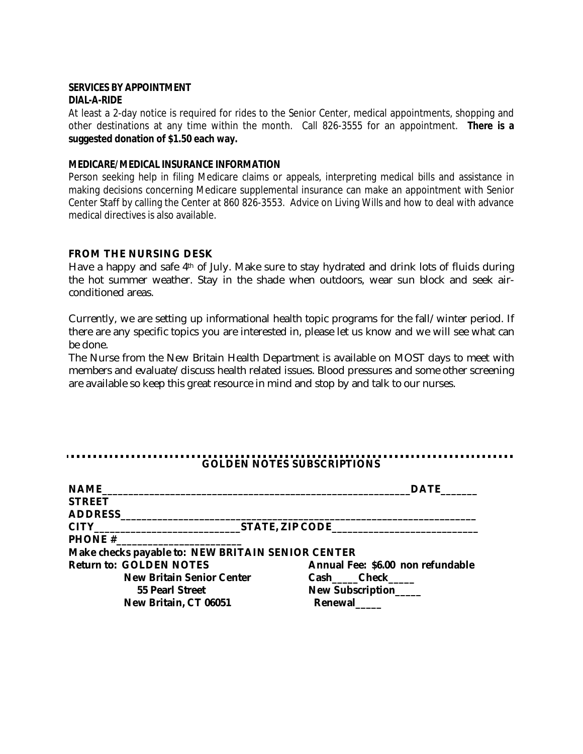#### **SERVICES BY APPOINTMENT DIAL-A-RIDE**

At least a 2-day notice is required for rides to the Senior Center, medical appointments, shopping and other destinations at any time within the month. Call 826-3555 for an appointment. **There is a suggested donation of \$1.50 each way.**

#### **MEDICARE/MEDICAL INSURANCE INFORMATION**

Person seeking help in filing Medicare claims or appeals, interpreting medical bills and assistance in making decisions concerning Medicare supplemental insurance can make an appointment with Senior Center Staff by calling the Center at 860 826-3553. Advice on Living Wills and how to deal with advance medical directives is also available.

#### **FROM THE NURSING DESK**

Have a happy and safe 4<sup>th</sup> of July. Make sure to stay hydrated and drink lots of fluids during the hot summer weather. Stay in the shade when outdoors, wear sun block and seek airconditioned areas.

Currently, we are setting up informational health topic programs for the fall/winter period. If there are any specific topics you are interested in, please let us know and we will see what can be done.

The Nurse from the New Britain Health Department is available on MOST days to meet with members and evaluate/discuss health related issues. Blood pressures and some other screening are available so keep this great resource in mind and stop by and talk to our nurses.

#### ........................ **GOLDEN NOTES SUBSCRIPTIONS**

| NAME                                              | <b>DATE</b>                       |
|---------------------------------------------------|-----------------------------------|
| <b>STREET</b>                                     |                                   |
| ADDRESS ADDRESS                                   |                                   |
|                                                   |                                   |
|                                                   |                                   |
| Make checks payable to: NEW BRITAIN SENIOR CENTER |                                   |
| <b>Return to: GOLDEN NOTES</b>                    | Annual Fee: \$6.00 non refundable |
| <b>New Britain Senior Center</b>                  | Cash Check                        |
| 55 Pearl Street                                   | New Subscription                  |
| New Britain, CT 06051                             | Renewal                           |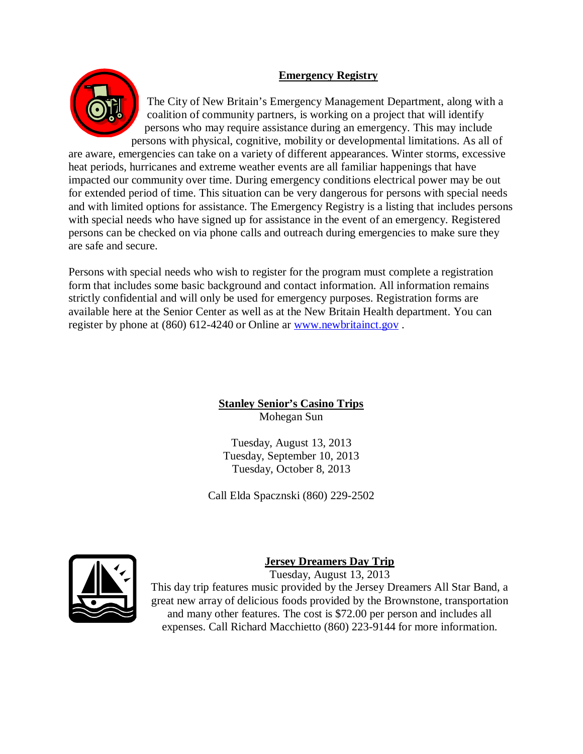## **Emergency Registry**



The City of New Britain's Emergency Management Department, along with a coalition of community partners, is working on a project that will identify persons who may require assistance during an emergency. This may include persons with physical, cognitive, mobility or developmental limitations. As all of

are aware, emergencies can take on a variety of different appearances. Winter storms, excessive heat periods, hurricanes and extreme weather events are all familiar happenings that have impacted our community over time. During emergency conditions electrical power may be out for extended period of time. This situation can be very dangerous for persons with special needs and with limited options for assistance. The Emergency Registry is a listing that includes persons with special needs who have signed up for assistance in the event of an emergency. Registered persons can be checked on via phone calls and outreach during emergencies to make sure they are safe and secure.

Persons with special needs who wish to register for the program must complete a registration form that includes some basic background and contact information. All information remains strictly confidential and will only be used for emergency purposes. Registration forms are available here at the Senior Center as well as at the New Britain Health department. You can register by phone at (860) 612-4240 or Online ar www.newbritainct.gov .

### **Stanley Senior's Casino Trips** Mohegan Sun

Tuesday, August 13, 2013 Tuesday, September 10, 2013 Tuesday, October 8, 2013

Call Elda Spacznski (860) 229-2502



# **Jersey Dreamers Day Trip**

Tuesday, August 13, 2013 This day trip features music provided by the Jersey Dreamers All Star Band, a great new array of delicious foods provided by the Brownstone, transportation and many other features. The cost is \$72.00 per person and includes all expenses. Call Richard Macchietto (860) 223-9144 for more information.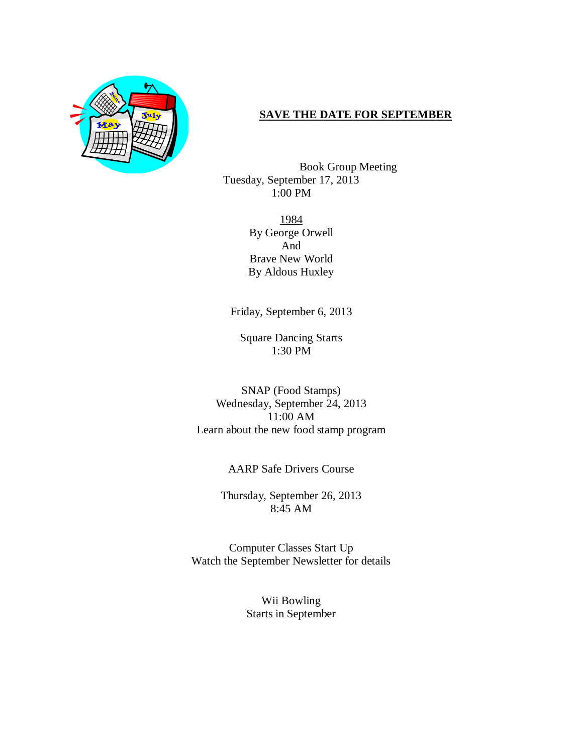

#### **SAVE THE DATE FOR SEPTEMBER**

Book Group Meeting Tuesday, September 17, 2013 1:00 PM

> 1984 By George Orwell And Brave New World By Aldous Huxley

Friday, September 6, 2013

Square Dancing Starts 1:30 PM

SNAP (Food Stamps) Wednesday, September 24, 2013 11:00 AM Learn about the new food stamp program

AARP Safe Drivers Course

Thursday, September 26, 2013 8:45 AM

Computer Classes Start Up Watch the September Newsletter for details

> Wii Bowling Starts in September